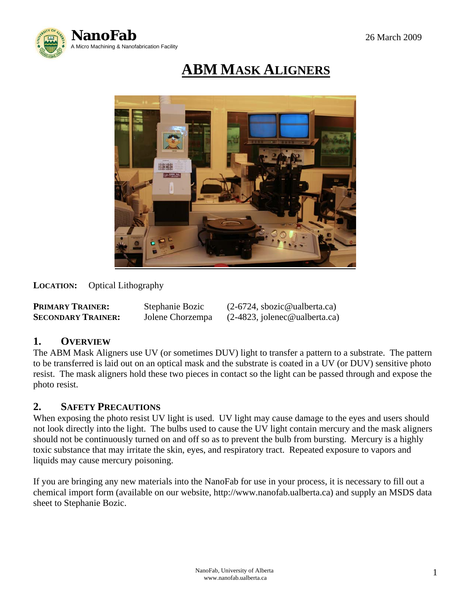

# **ABM MASK ALIGNERS**



**LOCATION:** Optical Lithography

| <b>PRIMARY TRAINER:</b>   | Stephanie Bozic  | $(2-6724,$ sbozic@ualberta.ca)  |
|---------------------------|------------------|---------------------------------|
| <b>SECONDARY TRAINER:</b> | Jolene Chorzempa | $(2-4823,$ jolenec@ualberta.ca) |

## **1. OVERVIEW**

The ABM Mask Aligners use UV (or sometimes DUV) light to transfer a pattern to a substrate. The pattern to be transferred is laid out on an optical mask and the substrate is coated in a UV (or DUV) sensitive photo resist. The mask aligners hold these two pieces in contact so the light can be passed through and expose the photo resist.

## **2. SAFETY PRECAUTIONS**

When exposing the photo resist UV light is used. UV light may cause damage to the eyes and users should not look directly into the light. The bulbs used to cause the UV light contain mercury and the mask aligners should not be continuously turned on and off so as to prevent the bulb from bursting. Mercury is a highly toxic substance that may irritate the skin, eyes, and respiratory tract. Repeated exposure to vapors and liquids may cause mercury poisoning.

If you are bringing any new materials into the NanoFab for use in your process, it is necessary to fill out a chemical import form (available on our website, http://www.nanofab.ualberta.ca) and supply an MSDS data sheet to Stephanie Bozic.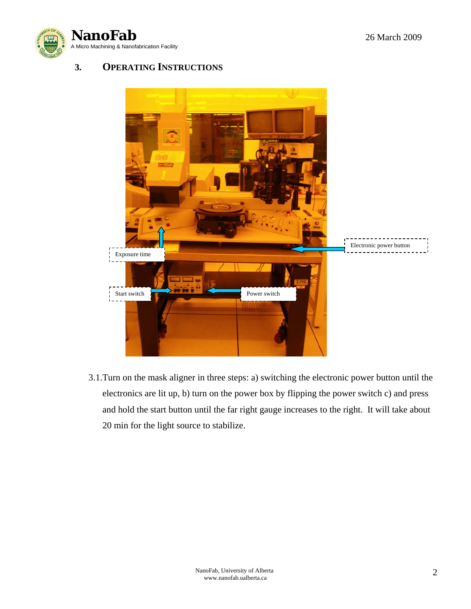



# **3. OPERATING INSTRUCTIONS**



3.1.Turn on the mask aligner in three steps: a) switching the electronic power button until the electronics are lit up, b) turn on the power box by flipping the power switch c) and press and hold the start button until the far right gauge increases to the right. It will take about 20 min for the light source to stabilize.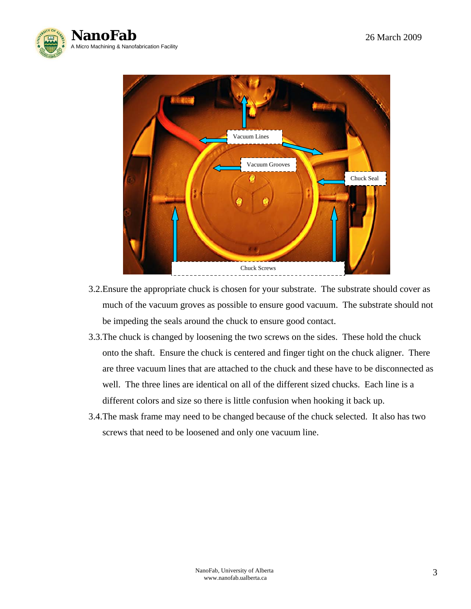



- 3.2.Ensure the appropriate chuck is chosen for your substrate. The substrate should cover as much of the vacuum groves as possible to ensure good vacuum. The substrate should not be impeding the seals around the chuck to ensure good contact.
- 3.3.The chuck is changed by loosening the two screws on the sides. These hold the chuck onto the shaft. Ensure the chuck is centered and finger tight on the chuck aligner. There are three vacuum lines that are attached to the chuck and these have to be disconnected as well. The three lines are identical on all of the different sized chucks. Each line is a different colors and size so there is little confusion when hooking it back up.
- 3.4.The mask frame may need to be changed because of the chuck selected. It also has two screws that need to be loosened and only one vacuum line.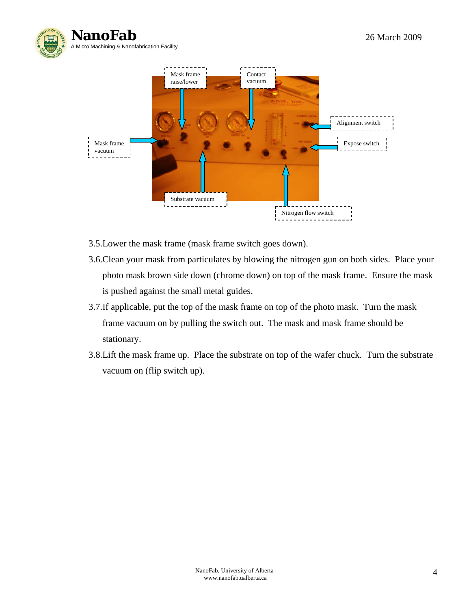



- 3.5.Lower the mask frame (mask frame switch goes down).
- 3.6.Clean your mask from particulates by blowing the nitrogen gun on both sides. Place your photo mask brown side down (chrome down) on top of the mask frame. Ensure the mask is pushed against the small metal guides.
- 3.7.If applicable, put the top of the mask frame on top of the photo mask. Turn the mask frame vacuum on by pulling the switch out. The mask and mask frame should be stationary.
- 3.8.Lift the mask frame up. Place the substrate on top of the wafer chuck. Turn the substrate vacuum on (flip switch up).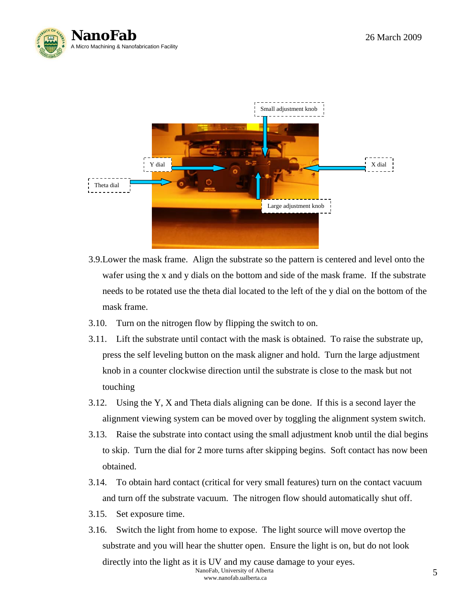



- 3.9.Lower the mask frame. Align the substrate so the pattern is centered and level onto the wafer using the x and y dials on the bottom and side of the mask frame. If the substrate needs to be rotated use the theta dial located to the left of the y dial on the bottom of the mask frame.
- 3.10. Turn on the nitrogen flow by flipping the switch to on.
- 3.11. Lift the substrate until contact with the mask is obtained. To raise the substrate up, press the self leveling button on the mask aligner and hold. Turn the large adjustment knob in a counter clockwise direction until the substrate is close to the mask but not touching
- 3.12. Using the Y, X and Theta dials aligning can be done. If this is a second layer the alignment viewing system can be moved over by toggling the alignment system switch.
- 3.13. Raise the substrate into contact using the small adjustment knob until the dial begins to skip. Turn the dial for 2 more turns after skipping begins. Soft contact has now been obtained.
- 3.14. To obtain hard contact (critical for very small features) turn on the contact vacuum and turn off the substrate vacuum. The nitrogen flow should automatically shut off.
- 3.15. Set exposure time.
- NanoFab, University of Alberta and the state of the state of the state of the state of the state of the state of the state of the state of the state of the state of the state of the state of the state of the state of the s 3.16. Switch the light from home to expose. The light source will move overtop the substrate and you will hear the shutter open. Ensure the light is on, but do not look directly into the light as it is UV and my cause damage to your eyes.